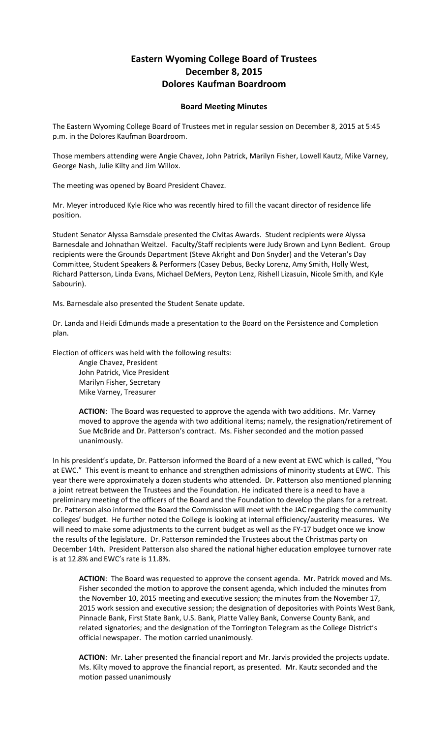## **Eastern Wyoming College Board of Trustees December 8, 2015 Dolores Kaufman Boardroom**

## **Board Meeting Minutes**

The Eastern Wyoming College Board of Trustees met in regular session on December 8, 2015 at 5:45 p.m. in the Dolores Kaufman Boardroom.

Those members attending were Angie Chavez, John Patrick, Marilyn Fisher, Lowell Kautz, Mike Varney, George Nash, Julie Kilty and Jim Willox.

The meeting was opened by Board President Chavez.

Mr. Meyer introduced Kyle Rice who was recently hired to fill the vacant director of residence life position.

Student Senator Alyssa Barnsdale presented the Civitas Awards. Student recipients were Alyssa Barnesdale and Johnathan Weitzel. Faculty/Staff recipients were Judy Brown and Lynn Bedient. Group recipients were the Grounds Department (Steve Akright and Don Snyder) and the Veteran's Day Committee, Student Speakers & Performers (Casey Debus, Becky Lorenz, Amy Smith, Holly West, Richard Patterson, Linda Evans, Michael DeMers, Peyton Lenz, Rishell Lizasuin, Nicole Smith, and Kyle Sabourin).

Ms. Barnesdale also presented the Student Senate update.

Dr. Landa and Heidi Edmunds made a presentation to the Board on the Persistence and Completion plan.

Election of officers was held with the following results:

Angie Chavez, President John Patrick, Vice President Marilyn Fisher, Secretary Mike Varney, Treasurer

**ACTION**: The Board was requested to approve the agenda with two additions. Mr. Varney moved to approve the agenda with two additional items; namely, the resignation/retirement of Sue McBride and Dr. Patterson's contract. Ms. Fisher seconded and the motion passed unanimously.

In his president's update, Dr. Patterson informed the Board of a new event at EWC which is called, "You at EWC." This event is meant to enhance and strengthen admissions of minority students at EWC. This year there were approximately a dozen students who attended. Dr. Patterson also mentioned planning a joint retreat between the Trustees and the Foundation. He indicated there is a need to have a preliminary meeting of the officers of the Board and the Foundation to develop the plans for a retreat. Dr. Patterson also informed the Board the Commission will meet with the JAC regarding the community colleges' budget. He further noted the College is looking at internal efficiency/austerity measures. We will need to make some adjustments to the current budget as well as the FY-17 budget once we know the results of the legislature. Dr. Patterson reminded the Trustees about the Christmas party on December 14th. President Patterson also shared the national higher education employee turnover rate is at 12.8% and EWC's rate is 11.8%.

**ACTION**: The Board was requested to approve the consent agenda. Mr. Patrick moved and Ms. Fisher seconded the motion to approve the consent agenda, which included the minutes from the November 10, 2015 meeting and executive session; the minutes from the November 17, 2015 work session and executive session; the designation of depositories with Points West Bank, Pinnacle Bank, First State Bank, U.S. Bank, Platte Valley Bank, Converse County Bank, and related signatories; and the designation of the Torrington Telegram as the College District's official newspaper. The motion carried unanimously.

**ACTION**: Mr. Laher presented the financial report and Mr. Jarvis provided the projects update. Ms. Kilty moved to approve the financial report, as presented. Mr. Kautz seconded and the motion passed unanimously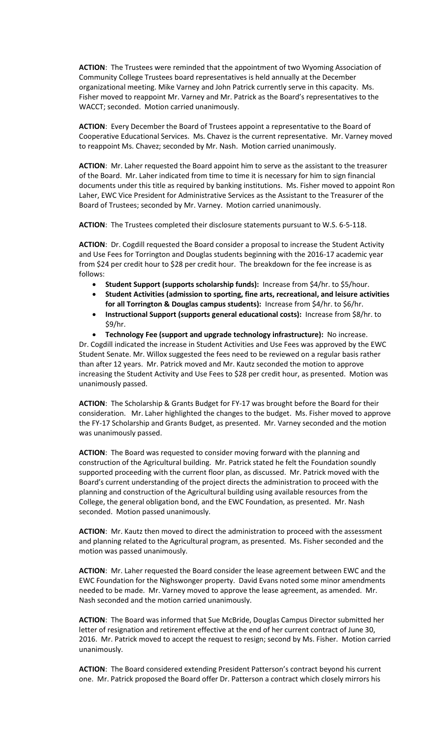**ACTION**: The Trustees were reminded that the appointment of two Wyoming Association of Community College Trustees board representatives is held annually at the December organizational meeting. Mike Varney and John Patrick currently serve in this capacity. Ms. Fisher moved to reappoint Mr. Varney and Mr. Patrick as the Board's representatives to the WACCT; seconded. Motion carried unanimously.

**ACTION**: Every December the Board of Trustees appoint a representative to the Board of Cooperative Educational Services. Ms. Chavez is the current representative. Mr. Varney moved to reappoint Ms. Chavez; seconded by Mr. Nash. Motion carried unanimously.

**ACTION**: Mr. Laher requested the Board appoint him to serve as the assistant to the treasurer of the Board. Mr. Laher indicated from time to time it is necessary for him to sign financial documents under this title as required by banking institutions. Ms. Fisher moved to appoint Ron Laher, EWC Vice President for Administrative Services as the Assistant to the Treasurer of the Board of Trustees; seconded by Mr. Varney. Motion carried unanimously.

**ACTION**: The Trustees completed their disclosure statements pursuant to W.S. 6-5-118.

**ACTION**: Dr. Cogdill requested the Board consider a proposal to increase the Student Activity and Use Fees for Torrington and Douglas students beginning with the 2016-17 academic year from \$24 per credit hour to \$28 per credit hour. The breakdown for the fee increase is as follows:

- **Student Support (supports scholarship funds):** Increase from \$4/hr. to \$5/hour.
- **Student Activities (admission to sporting, fine arts, recreational, and leisure activities for all Torrington & Douglas campus students):** Increase from \$4/hr. to \$6/hr.
- **Instructional Support (supports general educational costs):** Increase from \$8/hr. to \$9/hr.
- **Technology Fee (support and upgrade technology infrastructure):** No increase. Dr. Cogdill indicated the increase in Student Activities and Use Fees was approved by the EWC Student Senate. Mr. Willox suggested the fees need to be reviewed on a regular basis rather than after 12 years. Mr. Patrick moved and Mr. Kautz seconded the motion to approve increasing the Student Activity and Use Fees to \$28 per credit hour, as presented. Motion was unanimously passed.

**ACTION**: The Scholarship & Grants Budget for FY-17 was brought before the Board for their consideration. Mr. Laher highlighted the changes to the budget. Ms. Fisher moved to approve the FY-17 Scholarship and Grants Budget, as presented. Mr. Varney seconded and the motion was unanimously passed.

**ACTION**: The Board was requested to consider moving forward with the planning and construction of the Agricultural building. Mr. Patrick stated he felt the Foundation soundly supported proceeding with the current floor plan, as discussed. Mr. Patrick moved with the Board's current understanding of the project directs the administration to proceed with the planning and construction of the Agricultural building using available resources from the College, the general obligation bond, and the EWC Foundation, as presented. Mr. Nash seconded. Motion passed unanimously.

**ACTION**: Mr. Kautz then moved to direct the administration to proceed with the assessment and planning related to the Agricultural program, as presented. Ms. Fisher seconded and the motion was passed unanimously.

**ACTION**: Mr. Laher requested the Board consider the lease agreement between EWC and the EWC Foundation for the Nighswonger property. David Evans noted some minor amendments needed to be made. Mr. Varney moved to approve the lease agreement, as amended. Mr. Nash seconded and the motion carried unanimously.

**ACTION**: The Board was informed that Sue McBride, Douglas Campus Director submitted her letter of resignation and retirement effective at the end of her current contract of June 30, 2016. Mr. Patrick moved to accept the request to resign; second by Ms. Fisher. Motion carried unanimously.

**ACTION**: The Board considered extending President Patterson's contract beyond his current one. Mr. Patrick proposed the Board offer Dr. Patterson a contract which closely mirrors his